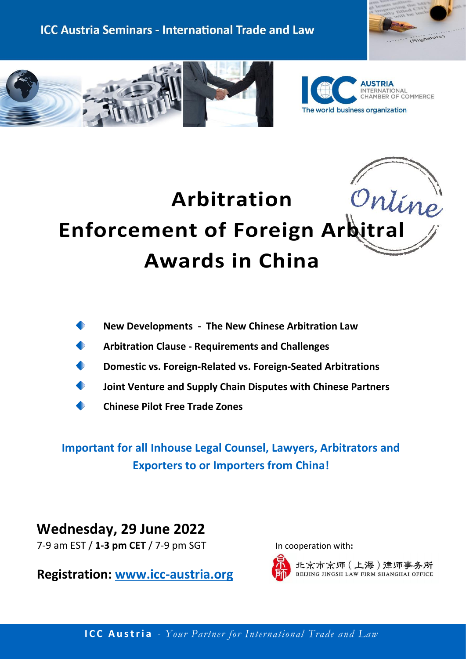





# Ontine **Arbitration Enforcement of Foreign Arbitral Awards in China**



- **Arbitration Clause - Requirements and Challenges**
- **Domestic vs. Foreign-Related vs. Foreign-Seated Arbitrations**
- **Joint Venture and Supply Chain Disputes with Chinese Partners**
- **Chinese Pilot Free Trade Zones**

**Important for all Inhouse Legal Counsel, Lawyers, Arbitrators and Exporters to or Importers from China!**

**Wednesday, 29 June 2022**  7-9 am EST / **1-3 pm CET** / 7-9 pm SGT In cooperation with:

**Registration: [www.icc-austria.org](https://www.icc-austria.org/seminars.htm)**



北京市京师 (上海)津师事务所 BEIJING JINGSH LAW FIRM SHANGHAI OFFICE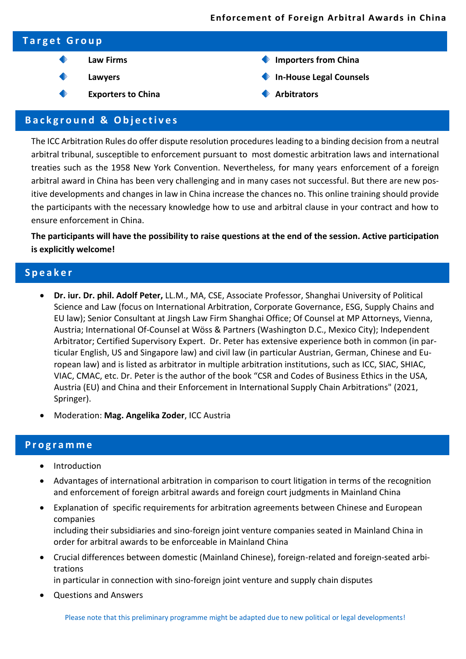#### **Enforcement of Foreign Arbitral Awards in China**

| <b>Target Group</b> |                           |                                   |  |
|---------------------|---------------------------|-----------------------------------|--|
|                     | <b>Law Firms</b>          | Importers from China<br>$\bullet$ |  |
|                     | Lawyers                   | In-House Legal Counsels           |  |
|                     | <b>Exporters to China</b> | <b>Arbitrators</b>                |  |

#### **B a c k g r o u n d & O b j e c t i v e s**

The ICC Arbitration Rules do offer dispute resolution procedures leading to a binding decision from a neutral arbitral tribunal, susceptible to enforcement pursuant to most domestic arbitration laws and international treaties such as the 1958 New York Convention. Nevertheless, for many years enforcement of a foreign arbitral award in China has been very challenging and in many cases not successful. But there are new positive developments and changes in law in China increase the chances no. This online training should provide the participants with the necessary knowledge how to use and arbitral clause in your contract and how to ensure enforcement in China.

**The participants will have the possibility to raise questions at the end of the session. Active participation is explicitly welcome!**

### **S p e a k e r**

- **Dr. iur. Dr. phil. Adolf Peter,** LL.M., MA, CSE, Associate Professor, Shanghai University of Political Science and Law (focus on International Arbitration, Corporate Governance, ESG, Supply Chains and EU law); Senior Consultant at Jingsh Law Firm Shanghai Office; Of Counsel at MP Attorneys, Vienna, Austria; International Of-Counsel at Wöss & Partners (Washington D.C., Mexico City); Independent Arbitrator; Certified Supervisory Expert. Dr. Peter has extensive experience both in common (in particular English, US and Singapore law) and civil law (in particular Austrian, German, Chinese and European law) and is listed as arbitrator in multiple arbitration institutions, such as ICC, SIAC, SHIAC, VIAC, CMAC, etc. Dr. Peter is the author of the book "CSR and Codes of Business Ethics in the USA, Austria (EU) and China and their Enforcement in International Supply Chain Arbitrations" (2021, Springer).
- Moderation: **Mag. Angelika Zoder**, ICC Austria

#### **P r o g r a m m e**

- **Introduction**
- Advantages of international arbitration in comparison to court litigation in terms of the recognition and enforcement of foreign arbitral awards and foreign court judgments in Mainland China
- Explanation of specific requirements for arbitration agreements between Chinese and European companies including their subsidiaries and sino-foreign joint venture companies seated in Mainland China in order for arbitral awards to be enforceable in Mainland China
- Crucial differences between domestic (Mainland Chinese), foreign-related and foreign-seated arbitrations

in particular in connection with sino-foreign joint venture and supply chain disputes

• Questions and Answers